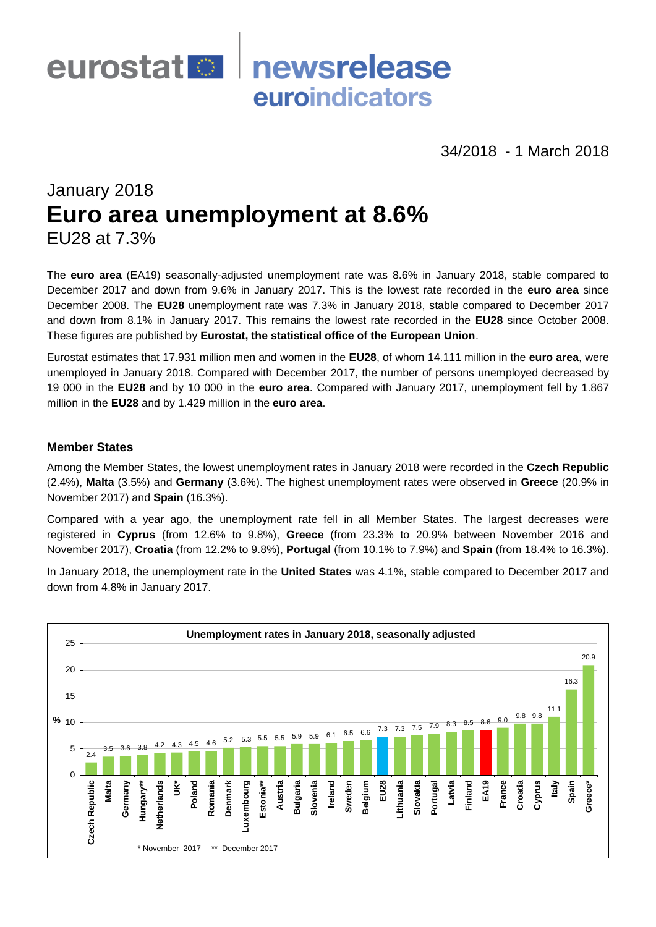

34/2018 - 1 March 2018

# January 2018 **Euro area unemployment at 8.6%** EU28 at 7.3%

The **euro area** (EA19) seasonally-adjusted unemployment rate was 8.6% in January 2018, stable compared to December 2017 and down from 9.6% in January 2017. This is the lowest rate recorded in the **euro area** since December 2008. The **EU28** unemployment rate was 7.3% in January 2018, stable compared to December 2017 and down from 8.1% in January 2017. This remains the lowest rate recorded in the **EU28** since October 2008. These figures are published by **Eurostat, the statistical office of the European Union**.

Eurostat estimates that 17.931 million men and women in the **EU28**, of whom 14.111 million in the **euro area**, were unemployed in January 2018. Compared with December 2017, the number of persons unemployed decreased by 19 000 in the **EU28** and by 10 000 in the **euro area**. Compared with January 2017, unemployment fell by 1.867 million in the **EU28** and by 1.429 million in the **euro area**.

## **Member States**

Among the Member States, the lowest unemployment rates in January 2018 were recorded in the **Czech Republic**  (2.4%), **Malta** (3.5%) and **Germany** (3.6%). The highest unemployment rates were observed in **Greece** (20.9% in November 2017) and **Spain** (16.3%).

Compared with a year ago, the unemployment rate fell in all Member States. The largest decreases were registered in **Cyprus** (from 12.6% to 9.8%), **Greece** (from 23.3% to 20.9% between November 2016 and November 2017), **Croatia** (from 12.2% to 9.8%), **Portugal** (from 10.1% to 7.9%) and **Spain** (from 18.4% to 16.3%).

In January 2018, the unemployment rate in the **United States** was 4.1%, stable compared to December 2017 and down from 4.8% in January 2017.

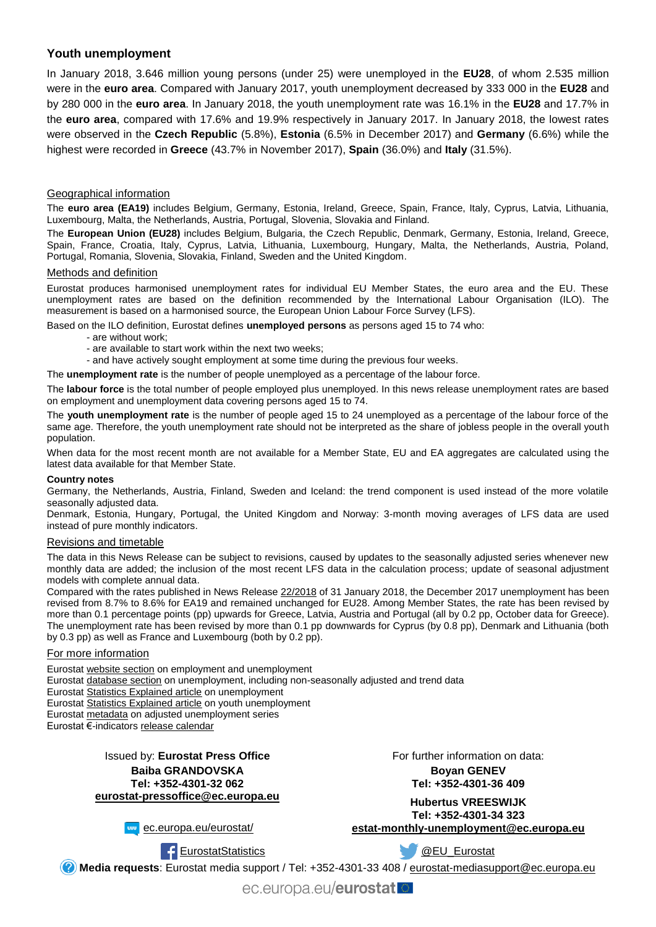# **Youth unemployment**

In January 2018, 3.646 million young persons (under 25) were unemployed in the **EU28**, of whom 2.535 million were in the **euro area**. Compared with January 2017, youth unemployment decreased by 333 000 in the **EU28** and by 280 000 in the **euro area**. In January 2018, the youth unemployment rate was 16.1% in the **EU28** and 17.7% in the **euro area**, compared with 17.6% and 19.9% respectively in January 2017. In January 2018, the lowest rates were observed in the **Czech Republic** (5.8%), **Estonia** (6.5% in December 2017) and **Germany** (6.6%) while the highest were recorded in **Greece** (43.7% in November 2017), **Spain** (36.0%) and **Italy** (31.5%).

## Geographical information

The **euro area (EA19)** includes Belgium, Germany, Estonia, Ireland, Greece, Spain, France, Italy, Cyprus, Latvia, Lithuania, Luxembourg, Malta, the Netherlands, Austria, Portugal, Slovenia, Slovakia and Finland.

The **European Union (EU28)** includes Belgium, Bulgaria, the Czech Republic, Denmark, Germany, Estonia, Ireland, Greece, Spain, France, Croatia, Italy, Cyprus, Latvia, Lithuania, Luxembourg, Hungary, Malta, the Netherlands, Austria, Poland, Portugal, Romania, Slovenia, Slovakia, Finland, Sweden and the United Kingdom.

### Methods and definition

Eurostat produces harmonised unemployment rates for individual EU Member States, the euro area and the EU. These unemployment rates are based on the definition recommended by the International Labour Organisation (ILO). The measurement is based on a harmonised source, the European Union Labour Force Survey (LFS).

Based on the ILO definition, Eurostat defines **unemployed persons** as persons aged 15 to 74 who:

- are without work;
- are available to start work within the next two weeks;
- and have actively sought employment at some time during the previous four weeks.

The **unemployment rate** is the number of people unemployed as a percentage of the labour force.

The **labour force** is the total number of people employed plus unemployed. In this news release unemployment rates are based on employment and unemployment data covering persons aged 15 to 74.

The **youth unemployment rate** is the number of people aged 15 to 24 unemployed as a percentage of the labour force of the same age. Therefore, the youth unemployment rate should not be interpreted as the share of jobless people in the overall youth population.

When data for the most recent month are not available for a Member State, EU and EA aggregates are calculated using the latest data available for that Member State.

#### **Country notes**

Germany, the Netherlands, Austria, Finland, Sweden and Iceland: the trend component is used instead of the more volatile seasonally adjusted data.

Denmark, Estonia, Hungary, Portugal, the United Kingdom and Norway: 3-month moving averages of LFS data are used instead of pure monthly indicators.

## Revisions and timetable

The data in this News Release can be subject to revisions, caused by updates to the seasonally adjusted series whenever new monthly data are added; the inclusion of the most recent LFS data in the calculation process; update of seasonal adjustment models with complete annual data.

Compared with the rates published in News Release [22/2018](http://ec.europa.eu/eurostat/documents/2995521/8631691/3-31012018-BP-EN.pdf/bdc1dbf2-6511-4dc5-ac90-dbadee96f5fb) of 31 January 2018, the December 2017 unemployment has been revised from 8.7% to 8.6% for EA19 and remained unchanged for EU28. Among Member States, the rate has been revised by more than 0.1 percentage points (pp) upwards for Greece, Latvia, Austria and Portugal (all by 0.2 pp, October data for Greece). The unemployment rate has been revised by more than 0.1 pp downwards for Cyprus (by 0.8 pp), Denmark and Lithuania (both by 0.3 pp) as well as France and Luxembourg (both by 0.2 pp).

#### For more information

Eurosta[t website section](http://ec.europa.eu/eurostat/web/lfs/overview) on employment and unemployment Eurosta[t database section](http://ec.europa.eu/eurostat/web/lfs/data/database) on unemployment, including non-seasonally adjusted and trend data Eurosta[t Statistics Explained article](http://ec.europa.eu/eurostat/statistics-explained/index.php/Unemployment_statistics) on unemployment Eurosta[t Statistics Explained article](http://ec.europa.eu/eurostat/statistics-explained/index.php/Youth_unemployment) on youth unemployment Eurosta[t metadata](http://ec.europa.eu/eurostat/cache/metadata/en/une_esms.htm) on adjusted unemployment series Eurostat €-indicator[s release calendar](http://ec.europa.eu/eurostat/news/release-calendar)

> Issued by: **Eurostat Press Office Baiba GRANDOVSKA Tel: +352-4301-32 062 [eurostat-pressoffice@ec.europa.eu](mailto:eurostat-pressoffice@ec.europa.eu)**

> > **www** [ec.europa.eu/eurostat/](http://ec.europa.eu/eurostat/)

For further information on data:

**Boyan GENEV Tel: +352-4301-36 409**

**Hubertus VREESWIJK Tel: +352-4301-34 323 [estat-monthly-unemployment@ec.europa.eu](mailto:ESTAT-monthly-unemployment@ec.europa.eu)**

[EurostatStatistics](http://www.facebook.com/EurostatStatistics) **COLOUST COLOUST COLOUST AND A COLOUST [@EU\\_Eurostat](http://twitter.com/EU_Eurostat)** 

**Media requests**: Eurostat media support / Tel: +352-4301-33 408 / [eurostat-mediasupport@ec.europa.eu](mailto:eurostat-mediasupport@ec.europa.eu)

ec.europa.eu/eurostat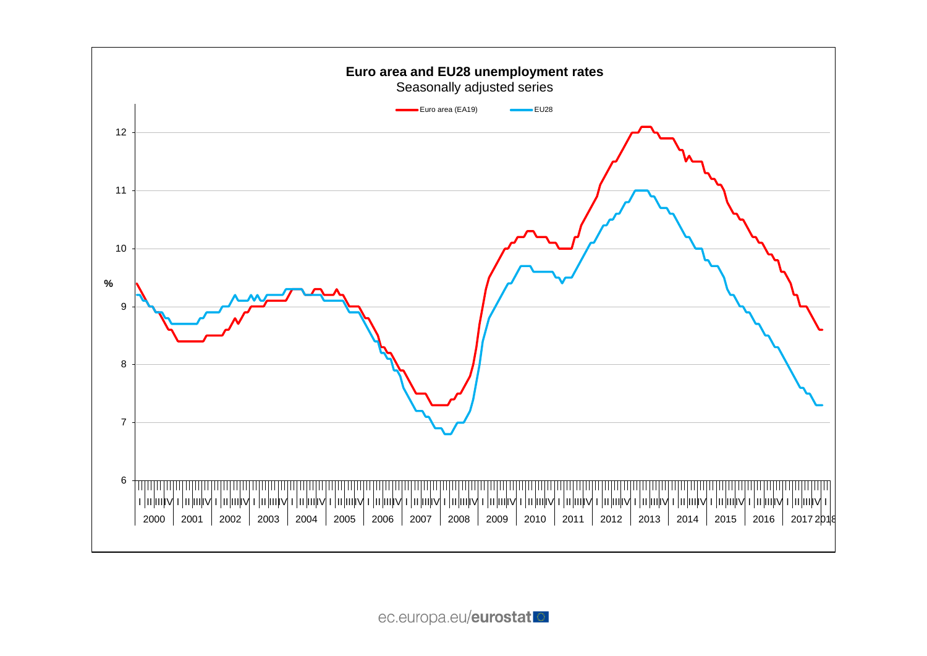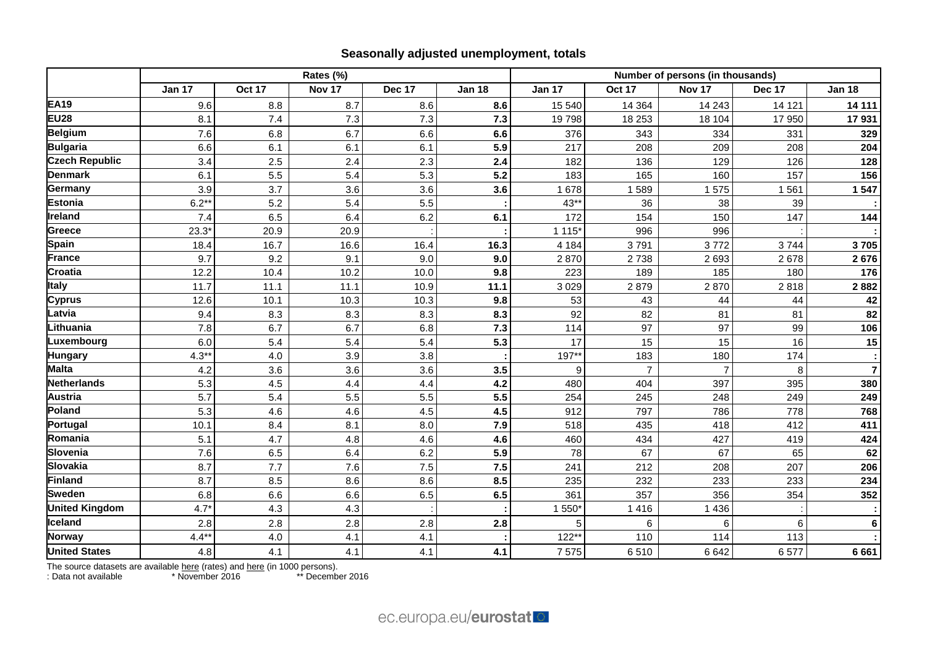# **Seasonally adjusted unemployment, totals**

|                       | Rates (%)     |               |        |        |               |               | Number of persons (in thousands) |                |        |                |  |  |
|-----------------------|---------------|---------------|--------|--------|---------------|---------------|----------------------------------|----------------|--------|----------------|--|--|
|                       | <b>Jan 17</b> | <b>Oct 17</b> | Nov 17 | Dec 17 | <b>Jan 18</b> | <b>Jan 17</b> | Oct 17                           | Nov 17         | Dec 17 | <b>Jan 18</b>  |  |  |
| <b>EA19</b>           | 9.6           | 8.8           | 8.7    | 8.6    | 8.6           | 15 540        | 14 3 64                          | 14 24 3        | 14 121 | 14 111         |  |  |
| <b>EU28</b>           | 8.1           | 7.4           | 7.3    | 7.3    | 7.3           | 19798         | 18 253                           | 18 104         | 17 950 | 17931          |  |  |
| <b>Belgium</b>        | 7.6           | 6.8           | 6.7    | 6.6    | 6.6           | 376           | 343                              | 334            | 331    | 329            |  |  |
| <b>Bulgaria</b>       | 6.6           | 6.1           | 6.1    | 6.1    | 5.9           | 217           | 208                              | 209            | 208    | 204            |  |  |
| <b>Czech Republic</b> | 3.4           | 2.5           | 2.4    | 2.3    | 2.4           | 182           | 136                              | 129            | 126    | 128            |  |  |
| <b>Denmark</b>        | 6.1           | 5.5           | 5.4    | 5.3    | 5.2           | 183           | 165                              | 160            | 157    | 156            |  |  |
| Germany               | 3.9           | 3.7           | 3.6    | 3.6    | 3.6           | 1678          | 1589                             | 1575           | 1561   | 1547           |  |  |
| <b>Estonia</b>        | $6.2**$       | 5.2           | 5.4    | 5.5    |               | $43**$        | 36                               | 38             | 39     |                |  |  |
| Ireland               | 7.4           | 6.5           | 6.4    | 6.2    | 6.1           | 172           | 154                              | 150            | 147    | 144            |  |  |
| Greece                | $23.3*$       | 20.9          | 20.9   |        |               | 1 1 1 5       | 996                              | 996            |        |                |  |  |
| Spain                 | 18.4          | 16.7          | 16.6   | 16.4   | 16.3          | 4 1 8 4       | 3791                             | 3772           | 3744   | 3705           |  |  |
| <b>France</b>         | 9.7           | 9.2           | 9.1    | 9.0    | 9.0           | 2870          | 2738                             | 2693           | 2678   | 2676           |  |  |
| Croatia               | 12.2          | 10.4          | 10.2   | 10.0   | 9.8           | 223           | 189                              | 185            | 180    | 176            |  |  |
| <b>Italy</b>          | 11.7          | 11.1          | 11.1   | 10.9   | 11.1          | 3029          | 2879                             | 2870           | 2818   | 2882           |  |  |
| <b>Cyprus</b>         | 12.6          | 10.1          | 10.3   | 10.3   | 9.8           | 53            | 43                               | 44             | 44     | 42             |  |  |
| Latvia                | 9.4           | 8.3           | 8.3    | 8.3    | 8.3           | 92            | 82                               | 81             | 81     | 82             |  |  |
| Lithuania             | 7.8           | 6.7           | 6.7    | 6.8    | 7.3           | 114           | 97                               | 97             | 99     | 106            |  |  |
| Luxembourg            | 6.0           | 5.4           | 5.4    | 5.4    | 5.3           | 17            | 15                               | 15             | 16     | 15             |  |  |
| <b>Hungary</b>        | $4.3**$       | 4.0           | 3.9    | 3.8    |               | 197**         | 183                              | 180            | 174    |                |  |  |
| <b>Malta</b>          | 4.2           | 3.6           | 3.6    | 3.6    | 3.5           | 9             | $\overline{7}$                   | $\overline{7}$ | 8      | $\overline{7}$ |  |  |
| Netherlands           | 5.3           | 4.5           | 4.4    | 4.4    | 4.2           | 480           | 404                              | 397            | 395    | 380            |  |  |
| <b>Austria</b>        | 5.7           | 5.4           | 5.5    | 5.5    | 5.5           | 254           | 245                              | 248            | 249    | 249            |  |  |
| Poland                | 5.3           | 4.6           | 4.6    | 4.5    | 4.5           | 912           | 797                              | 786            | 778    | 768            |  |  |
| Portugal              | 10.1          | 8.4           | 8.1    | 8.0    | 7.9           | 518           | 435                              | 418            | 412    | 411            |  |  |
| Romania               | 5.1           | 4.7           | 4.8    | 4.6    | 4.6           | 460           | 434                              | 427            | 419    | 424            |  |  |
| <b>Slovenia</b>       | 7.6           | 6.5           | 6.4    | 6.2    | 5.9           | 78            | 67                               | 67             | 65     | 62             |  |  |
| <b>Slovakia</b>       | 8.7           | 7.7           | 7.6    | 7.5    | 7.5           | 241           | 212                              | 208            | 207    | 206            |  |  |
| Finland               | 8.7           | 8.5           | 8.6    | 8.6    | 8.5           | 235           | 232                              | 233            | 233    | 234            |  |  |
| <b>Sweden</b>         | 6.8           | 6.6           | 6.6    | 6.5    | 6.5           | 361           | 357                              | 356            | 354    | 352            |  |  |
| <b>United Kingdom</b> | $4.7*$        | 4.3           | 4.3    |        |               | 1 550*        | 1 4 1 6                          | 1 4 3 6        |        |                |  |  |
| Iceland               | 2.8           | 2.8           | 2.8    | 2.8    | 2.8           | 5             | 6                                | 6              | 6      | 6              |  |  |
| <b>Norway</b>         | $4.4***$      | 4.0           | 4.1    | 4.1    |               | $122**$       | 110                              | 114            | 113    |                |  |  |
| <b>United States</b>  | 4.8           | 4.1           | 4.1    | 4.1    | 4.1           | 7575          | 6510                             | 6642           | 6577   | 6661           |  |  |

The source datasets are available [here](http://appsso.eurostat.ec.europa.eu/nui/show.do?query=BOOKMARK_DS-055624_QID_7A0B24FB_UID_-3F171EB0&layout=TIME,C,X,0;GEO,L,Y,0;S_ADJ,L,Z,0;AGE,L,Z,1;SEX,L,Z,2;UNIT,L,Z,3;INDICATORS,C,Z,4;&zSelection=DS-055624AGE,TOTAL;DS-055624INDICATORS,OBS_FLAG;DS-055624SEX,T;DS-055624S_ADJ,SA;DS-055624UNIT,PC_ACT;&rankName1=AGE_1_2_-1_2&rankName2=INDICATORS_1_2_-1_2&rankName3=SEX_1_2_-1_2&rankName4=S-ADJ_1_2_-1_2&rankName5=UNIT_1_2_0_0&rankName6=TIME_1_0_0_0&rankName7=GEO_1_2_0_1&sortC=ASC_-1_FIRST&rStp=&cStp=&rDCh=&cDCh=&rDM=true&cDM=true&footnes=false&empty=false&wai=false&time_mode=ROLLING&time_most_recent=true&lang=EN&cfo=%23%23%23%2C%23%23%23.%23%23%23) (rates) and here (in 1000 persons).

: Data not available \* November 2016 \*\* December 2016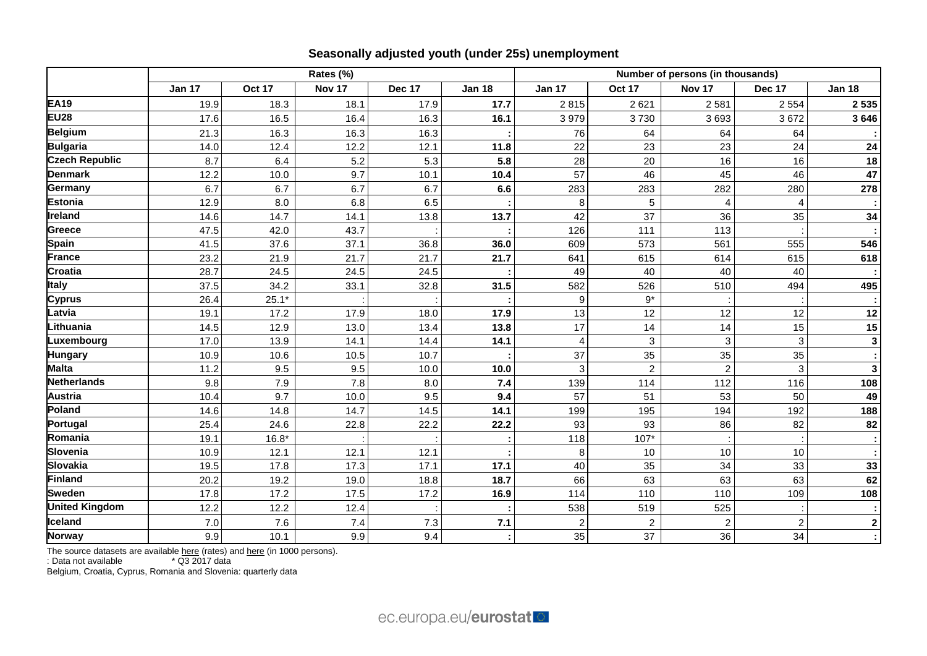|                       | Rates (%)     |         |        |               |               | Number of persons (in thousands) |                |                |                  |                         |
|-----------------------|---------------|---------|--------|---------------|---------------|----------------------------------|----------------|----------------|------------------|-------------------------|
|                       | <b>Jan 17</b> | Oct 17  | Nov 17 | <b>Dec 17</b> | <b>Jan 18</b> | <b>Jan 17</b>                    | <b>Oct 17</b>  | Nov 17         | <b>Dec 17</b>    | <b>Jan 18</b>           |
| <b>EA19</b>           | 19.9          | 18.3    | 18.1   | 17.9          | 17.7          | 2815                             | 2621           | 2 5 8 1        | 2 5 5 4          | 2 5 3 5                 |
| <b>EU28</b>           | 17.6          | 16.5    | 16.4   | 16.3          | 16.1          | 3979                             | 3730           | 3693           | 3672             | 3646                    |
| Belgium               | 21.3          | 16.3    | 16.3   | 16.3          |               | 76                               | 64             | 64             | 64               |                         |
| Bulgaria              | 14.0          | 12.4    | 12.2   | 12.1          | 11.8          | 22                               | 23             | 23             | 24               | 24                      |
| <b>Czech Republic</b> | 8.7           | 6.4     | 5.2    | 5.3           | 5.8           | 28                               | 20             | 16             | 16               | 18                      |
| <b>Denmark</b>        | 12.2          | 10.0    | 9.7    | 10.1          | 10.4          | 57                               | 46             | 45             | 46               | 47                      |
| Germany               | 6.7           | 6.7     | 6.7    | 6.7           | 6.6           | 283                              | 283            | 282            | 280              | 278                     |
| <b>Estonia</b>        | 12.9          | 8.0     | 6.8    | 6.5           |               | 8                                | 5              | $\overline{4}$ | 4                |                         |
| Ireland               | 14.6          | 14.7    | 14.1   | 13.8          | 13.7          | 42                               | 37             | 36             | 35               | 34                      |
| Greece                | 47.5          | 42.0    | 43.7   |               |               | 126                              | 111            | 113            |                  |                         |
| <b>Spain</b>          | 41.5          | 37.6    | 37.1   | 36.8          | 36.0          | 609                              | 573            | 561            | 555              | 546                     |
| France                | 23.2          | 21.9    | 21.7   | 21.7          | 21.7          | 641                              | 615            | 614            | 615              | 618                     |
| <b>Croatia</b>        | 28.7          | 24.5    | 24.5   | 24.5          |               | 49                               | 40             | 40             | 40               |                         |
| <b>Italy</b>          | 37.5          | 34.2    | 33.1   | 32.8          | 31.5          | 582                              | 526            | 510            | 494              | 495                     |
| <b>Cyprus</b>         | 26.4          | $25.1*$ |        |               |               | 9                                | $9*$           |                |                  |                         |
| Latvia                | 19.1          | 17.2    | 17.9   | 18.0          | 17.9          | 13                               | 12             | 12             | 12               | 12                      |
| Lithuania             | 14.5          | 12.9    | 13.0   | 13.4          | 13.8          | 17                               | 14             | 14             | 15               | 15                      |
| Luxembourg            | 17.0          | 13.9    | 14.1   | 14.4          | 14.1          |                                  | 3              | 3              | $\mathbf{3}$     | $\overline{\mathbf{3}}$ |
| <b>Hungary</b>        | 10.9          | 10.6    | 10.5   | 10.7          |               | 37                               | 35             | 35             | 35               |                         |
| <b>Malta</b>          | 11.2          | 9.5     | 9.5    | 10.0          | 10.0          |                                  | $\overline{2}$ | $\overline{2}$ | 3                | $\mathbf 3$             |
| <b>Netherlands</b>    | 9.8           | 7.9     | 7.8    | 8.0           | 7.4           | 139                              | 114            | 112            | 116              | 108                     |
| <b>Austria</b>        | 10.4          | 9.7     | 10.0   | 9.5           | 9.4           | 57                               | 51             | 53             | 50               | 49                      |
| Poland                | 14.6          | 14.8    | 14.7   | 14.5          | 14.1          | 199                              | 195            | 194            | 192              | 188                     |
| Portugal              | 25.4          | 24.6    | 22.8   | 22.2          | 22.2          | 93                               | 93             | 86             | 82               | 82                      |
| Romania               | 19.1          | $16.8*$ |        |               |               | 118                              | $107*$         |                |                  |                         |
| <b>Slovenia</b>       | 10.9          | 12.1    | 12.1   | 12.1          |               | 8                                | 10             | 10             | 10               |                         |
| <b>Slovakia</b>       | 19.5          | 17.8    | 17.3   | 17.1          | 17.1          | 40                               | 35             | 34             | 33               | 33                      |
| Finland               | 20.2          | 19.2    | 19.0   | 18.8          | 18.7          | 66                               | 63             | 63             | 63               | 62                      |
| <b>Sweden</b>         | 17.8          | 17.2    | 17.5   | 17.2          | 16.9          | 114                              | 110            | 110            | 109              | 108                     |
| <b>United Kingdom</b> | 12.2          | 12.2    | 12.4   |               |               | 538                              | 519            | 525            |                  |                         |
| Iceland               | 7.0           | 7.6     | 7.4    | 7.3           | $7.1$         |                                  | $\overline{c}$ | $\overline{2}$ | $\boldsymbol{2}$ | $\boldsymbol{2}$        |
| <b>Norway</b>         | 9.9           | 10.1    | 9.9    | 9.4           |               | 35                               | 37             | 36             | 34               |                         |

The source datasets are available [here](http://appsso.eurostat.ec.europa.eu/nui/show.do?query=BOOKMARK_DS-055624_QID_5DCA03A6_UID_-3F171EB0&layout=TIME,C,X,0;GEO,L,Y,0;S_ADJ,L,Z,0;AGE,L,Z,1;SEX,L,Z,2;UNIT,L,Z,3;INDICATORS,C,Z,4;&zSelection=DS-055624AGE,TOTAL;DS-055624INDICATORS,OBS_FLAG;DS-055624SEX,T;DS-055624S_ADJ,SA;DS-055624UNIT,THS_PER;&rankName1=AGE_1_2_-1_2&rankName2=INDICATORS_1_2_-1_2&rankName3=SEX_1_2_-1_2&rankName4=S-ADJ_1_2_-1_2&rankName5=UNIT_1_2_0_0&rankName6=TIME_1_0_0_0&rankName7=GEO_1_2_0_1&sortC=ASC_-1_FIRST&rStp=&cStp=&rDCh=&cDCh=&rDM=true&cDM=true&footnes=false&empty=false&wai=false&time_mode=ROLLING&time_most_recent=true&lang=EN&cfo=%23%23%23%2C%23%23%23.%23%23%23) (rates) and here (in 1000 persons).

: Data not available \* Q3 2017 data

Belgium, Croatia, Cyprus, Romania and Slovenia: quarterly data